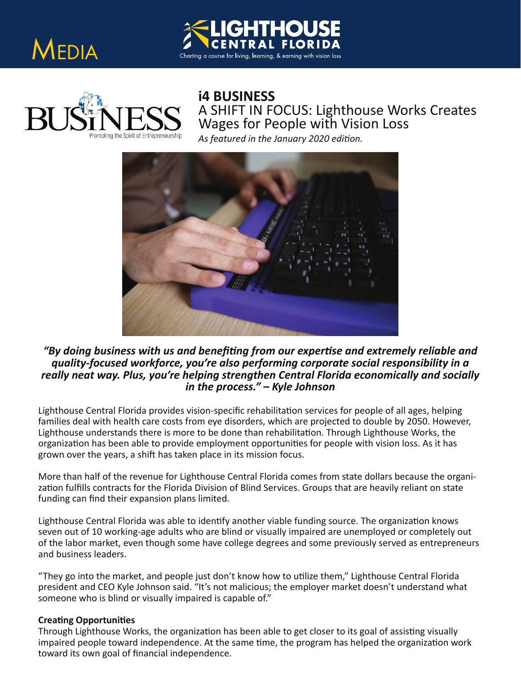





**i4 BUSINESS** A SHIFT IN FOCUS: Lighthouse Works Creates Wages for People with Vision Loss

*As featured in the January 2020 edition.*



## *"By doing business with us and benefiting from our expertise and extremely reliable and quality-focused workforce, you're also performing corporate social responsibility in a really neat way. Plus, you're helping strengthen Central Florida economically and socially in the process." – Kyle Johnson*

Lighthouse Central Florida provides vision-specific rehabilitation services for people of all ages, helping families deal with health care costs from eye disorders, which are projected to double by 2050. However, Lighthouse understands there is more to be done than rehabilitation. Through Lighthouse Works, the organization has been able to provide employment opportunities for people with vision loss. As it has grown over the years, a shift has taken place in its mission focus.

More than half of the revenue for Lighthouse Central Florida comes from state dollars because the organization fulfills contracts for the Florida Division of Blind Services. Groups that are heavily reliant on state funding can find their expansion plans limited.

Lighthouse Central Florida was able to identify another viable funding source. The organization knows seven out of 10 working-age adults who are blind or visually impaired are unemployed or completely out of the labor market, even though some have college degrees and some previously served as entrepreneurs and business leaders.

"They go into the market, and people just don't know how to u�lize them," Lighthouse Central Florida president and CEO Kyle Johnson said. "It's not malicious; the employer market doesn't understand what someone who is blind or visually impaired is capable of."

## **Creating Opportunities**

Through Lighthouse Works, the organization has been able to get closer to its goal of assisting visually impaired people toward independence. At the same time, the program has helped the organization work toward its own goal of financial independence.